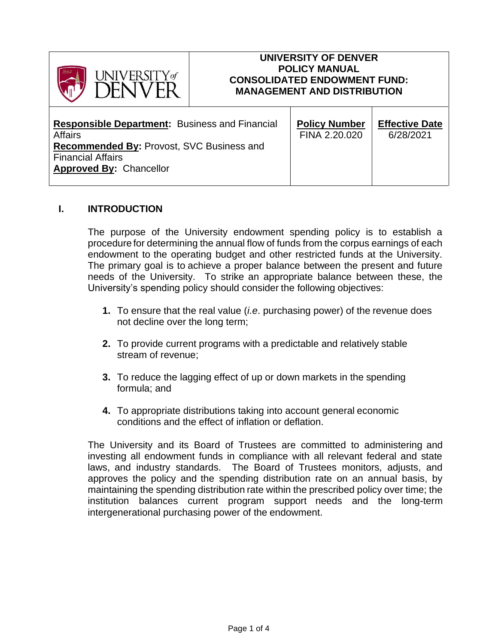

#### **UNIVERSITY OF DENVER POLICY MANUAL CONSOLIDATED ENDOWMENT FUND: MANAGEMENT AND DISTRIBUTION**

| <b>Responsible Department:</b> Business and Financial                                                          | <b>Policy Number</b> | <b>Effective Date</b> |
|----------------------------------------------------------------------------------------------------------------|----------------------|-----------------------|
| <b>Affairs</b>                                                                                                 | FINA 2.20.020        | 6/28/2021             |
| <b>Recommended By: Provost, SVC Business and</b><br><b>Financial Affairs</b><br><b>Approved By: Chancellor</b> |                      |                       |

#### **I. INTRODUCTION**

The purpose of the University endowment spending policy is to establish a procedure for determining the annual flow of funds from the corpus earnings of each endowment to the operating budget and other restricted funds at the University. The primary goal is to achieve a proper balance between the present and future needs of the University. To strike an appropriate balance between these, the University's spending policy should consider the following objectives:

- **1.** To ensure that the real value (*i.e*. purchasing power) of the revenue does not decline over the long term;
- **2.** To provide current programs with a predictable and relatively stable stream of revenue;
- **3.** To reduce the lagging effect of up or down markets in the spending formula; and
- **4.** To appropriate distributions taking into account general economic conditions and the effect of inflation or deflation.

The University and its Board of Trustees are committed to administering and investing all endowment funds in compliance with all relevant federal and state laws, and industry standards. The Board of Trustees monitors, adjusts, and approves the policy and the spending distribution rate on an annual basis, by maintaining the spending distribution rate within the prescribed policy over time; the institution balances current program support needs and the long-term intergenerational purchasing power of the endowment.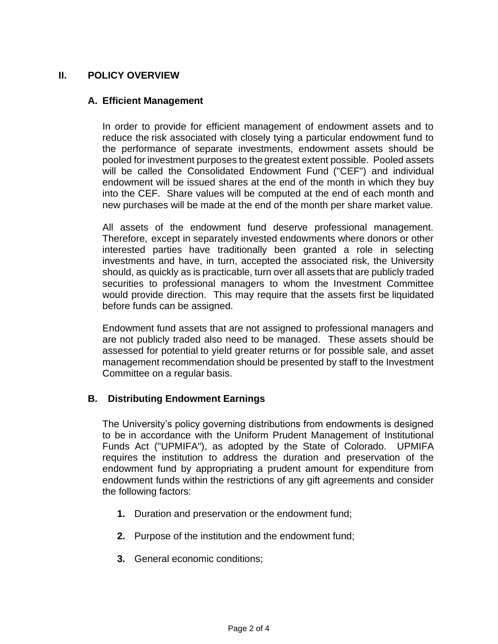### **II. POLICY OVERVIEW**

### **A. Efficient Management**

In order to provide for efficient management of endowment assets and to reduce the risk associated with closely tying a particular endowment fund to the performance of separate investments, endowment assets should be pooled for investment purposes to the greatest extent possible. Pooled assets will be called the Consolidated Endowment Fund ("CEF") and individual endowment will be issued shares at the end of the month in which they buy into the CEF. Share values will be computed at the end of each month and new purchases will be made at the end of the month per share market value.

All assets of the endowment fund deserve professional management. Therefore, except in separately invested endowments where donors or other interested parties have traditionally been granted a role in selecting investments and have, in turn, accepted the associated risk, the University should, as quickly as is practicable, turn over all assets that are publicly traded securities to professional managers to whom the Investment Committee would provide direction. This may require that the assets first be liquidated before funds can be assigned.

Endowment fund assets that are not assigned to professional managers and are not publicly traded also need to be managed. These assets should be assessed for potential to yield greater returns or for possible sale, and asset management recommendation should be presented by staff to the Investment Committee on a regular basis.

### **B. Distributing Endowment Earnings**

The University's policy governing distributions from endowments is designed to be in accordance with the Uniform Prudent Management of Institutional Funds Act ("UPMIFA"), as adopted by the State of Colorado. UPMIFA requires the institution to address the duration and preservation of the endowment fund by appropriating a prudent amount for expenditure from endowment funds within the restrictions of any gift agreements and consider the following factors:

- **1.** Duration and preservation or the endowment fund;
- **2.** Purpose of the institution and the endowment fund;
- **3.** General economic conditions;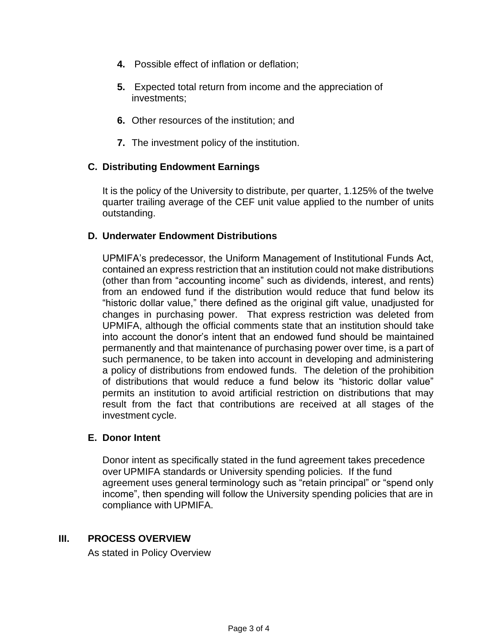- **4.** Possible effect of inflation or deflation;
- **5.** Expected total return from income and the appreciation of investments;
- **6.** Other resources of the institution; and
- **7.** The investment policy of the institution.

# **C. Distributing Endowment Earnings**

It is the policy of the University to distribute, per quarter, 1.125% of the twelve quarter trailing average of the CEF unit value applied to the number of units outstanding.

# **D. Underwater Endowment Distributions**

UPMIFA's predecessor, the Uniform Management of Institutional Funds Act, contained an express restriction that an institution could not make distributions (other than from "accounting income" such as dividends, interest, and rents) from an endowed fund if the distribution would reduce that fund below its "historic dollar value," there defined as the original gift value, unadjusted for changes in purchasing power. That express restriction was deleted from UPMIFA, although the official comments state that an institution should take into account the donor's intent that an endowed fund should be maintained permanently and that maintenance of purchasing power over time, is a part of such permanence, to be taken into account in developing and administering a policy of distributions from endowed funds. The deletion of the prohibition of distributions that would reduce a fund below its "historic dollar value" permits an institution to avoid artificial restriction on distributions that may result from the fact that contributions are received at all stages of the investment cycle.

### **E. Donor Intent**

Donor intent as specifically stated in the fund agreement takes precedence over UPMIFA standards or University spending policies. If the fund agreement uses general terminology such as "retain principal" or "spend only income", then spending will follow the University spending policies that are in compliance with UPMIFA.

### **III. PROCESS OVERVIEW**

As stated in Policy Overview